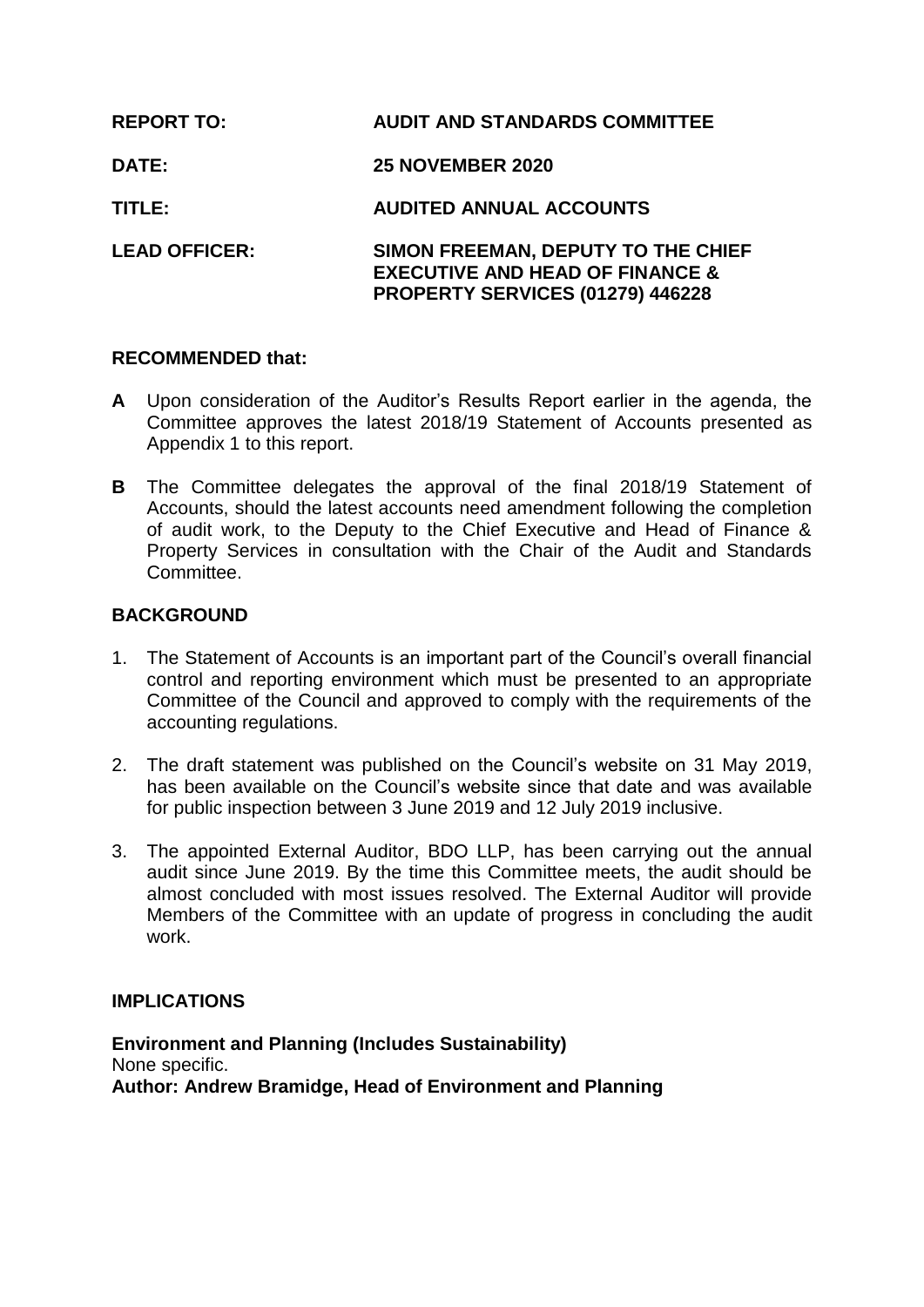| <b>REPORT TO:</b>    | <b>AUDIT AND STANDARDS COMMITTEE</b>                                                                                 |
|----------------------|----------------------------------------------------------------------------------------------------------------------|
| DATE:                | <b>25 NOVEMBER 2020</b>                                                                                              |
| TITLE:               | <b>AUDITED ANNUAL ACCOUNTS</b>                                                                                       |
| <b>LEAD OFFICER:</b> | SIMON FREEMAN, DEPUTY TO THE CHIEF<br><b>EXECUTIVE AND HEAD OF FINANCE &amp;</b><br>PROPERTY SERVICES (01279) 446228 |

## **RECOMMENDED that:**

- **A** Upon consideration of the Auditor's Results Report earlier in the agenda, the Committee approves the latest 2018/19 Statement of Accounts presented as Appendix 1 to this report.
- **B** The Committee delegates the approval of the final 2018/19 Statement of Accounts, should the latest accounts need amendment following the completion of audit work, to the Deputy to the Chief Executive and Head of Finance & Property Services in consultation with the Chair of the Audit and Standards **Committee.**

# **BACKGROUND**

- 1. The Statement of Accounts is an important part of the Council's overall financial control and reporting environment which must be presented to an appropriate Committee of the Council and approved to comply with the requirements of the accounting regulations.
- 2. The draft statement was published on the Council's website on 31 May 2019, has been available on the Council's website since that date and was available for public inspection between 3 June 2019 and 12 July 2019 inclusive.
- 3. The appointed External Auditor, BDO LLP, has been carrying out the annual audit since June 2019. By the time this Committee meets, the audit should be almost concluded with most issues resolved. The External Auditor will provide Members of the Committee with an update of progress in concluding the audit work.

## **IMPLICATIONS**

**Environment and Planning (Includes Sustainability)** None specific. **Author: Andrew Bramidge, Head of Environment and Planning**